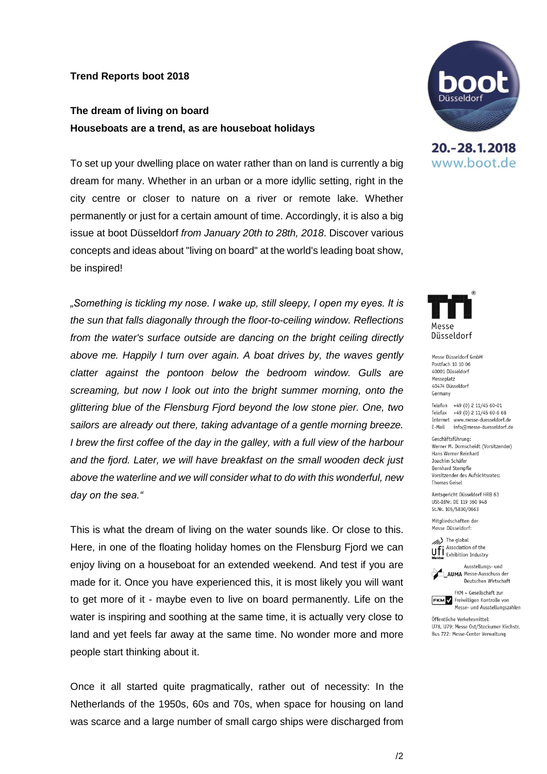## **Trend Reports boot 2018**

## **The dream of living on board Houseboats are a trend, as are houseboat holidays**

To set up your dwelling place on water rather than on land is currently a big dream for many. Whether in an urban or a more idyllic setting, right in the city centre or closer to nature on a river or remote lake. Whether permanently or just for a certain amount of time. Accordingly, it is also a big issue at boot Düsseldorf *from January 20th to 28th, 2018*. Discover various concepts and ideas about "living on board" at the world's leading boat show, be inspired!

*"Something is tickling my nose. I wake up, still sleepy, I open my eyes. It is the sun that falls diagonally through the floor-to-ceiling window. Reflections from the water's surface outside are dancing on the bright ceiling directly above me. Happily I turn over again. A boat drives by, the waves gently clatter against the pontoon below the bedroom window. Gulls are screaming, but now I look out into the bright summer morning, onto the glittering blue of the Flensburg Fjord beyond the low stone pier. One, two sailors are already out there, taking advantage of a gentle morning breeze. I brew the first coffee of the day in the galley, with a full view of the harbour and the fjord. Later, we will have breakfast on the small wooden deck just above the waterline and we will consider what to do with this wonderful, new day on the sea."* 

This is what the dream of living on the water sounds like. Or close to this. Here, in one of the floating holiday homes on the Flensburg Fjord we can enjoy living on a houseboat for an extended weekend. And test if you are made for it. Once you have experienced this, it is most likely you will want to get more of it - maybe even to live on board permanently. Life on the water is inspiring and soothing at the same time, it is actually very close to land and yet feels far away at the same time. No wonder more and more people start thinking about it.

[Once it all started quite pragmatically, rather out of necessity: In the](https://www.boat-duesseldorf.com/cgi-bin/md_boot/lib/pub/tt.cgi/%22Living_at_sea_level%22_extends_touristic_presentation_at_boot_Duesseldorf.html?oid=58854&lang=2&ticket=g_u_e_s_t)  [Netherlands of the 1950s, 60s and 70s, when space for housing on land](https://www.boat-duesseldorf.com/cgi-bin/md_boot/lib/pub/tt.cgi/%22Living_at_sea_level%22_extends_touristic_presentation_at_boot_Duesseldorf.html?oid=58854&lang=2&ticket=g_u_e_s_t)  [was scarce and a large number of small cargo ships were discharged from](https://www.boat-duesseldorf.com/cgi-bin/md_boot/lib/pub/tt.cgi/%22Living_at_sea_level%22_extends_touristic_presentation_at_boot_Duesseldorf.html?oid=58854&lang=2&ticket=g_u_e_s_t) 



20. - 28. 1. 2018 www.boot.de



Messe Düsseldorf GmbH Postfach 10 10 06 40001 Diisseldorf Messeplatz 40474 Diisseldorf Germany

Telefon +49 (0) 2 11/45 60-01 Telefax +49 (0) 2 11/45 60-6 68 Internet www.messe-duesseldorf.de E-Mail info@messe-duesseldorf.de

Geschäftsführung: Werner M. Dornscheidt (Vorsitzender) Hans Werner Reinhard Joachim Schäfer **Bernhard Stempfle** Vorsitzender des Aufsichtsrates: **Thomas Geisel** 

Amtsgericht Düsseldorf HRB 63 USt-IdNr. DE 119 360 948 St.Nr. 105/5830/0663

Mitgliedschaften der Messe Düsseldorf:

(b) The global Association of the **UFI** Association of the<br>**Member** Exhibition Industry

Ausstellungs- und **AUMA** Messe-Ausschuss der Deutschen Wirtschaft



Öffentliche Verkehrsmittel: U78, U79: Messe Ost/Stockumer Kirchstr. Bus 722: Messe-Center Verwaltung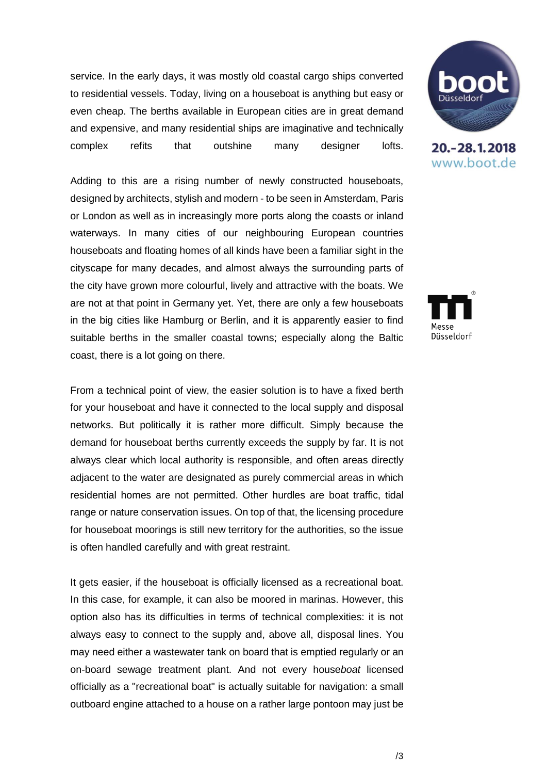[service. In the early days, it was mostly old coastal cargo ships converted](https://www.boat-duesseldorf.com/cgi-bin/md_boot/lib/pub/tt.cgi/%22Living_at_sea_level%22_extends_touristic_presentation_at_boot_Duesseldorf.html?oid=58854&lang=2&ticket=g_u_e_s_t)  [to residential vessels. Today, living on a houseboat is anything but easy or](https://www.boat-duesseldorf.com/cgi-bin/md_boot/lib/pub/tt.cgi/%22Living_at_sea_level%22_extends_touristic_presentation_at_boot_Duesseldorf.html?oid=58854&lang=2&ticket=g_u_e_s_t)  [even cheap. The berths available in European cities are in great demand](https://www.boat-duesseldorf.com/cgi-bin/md_boot/lib/pub/tt.cgi/%22Living_at_sea_level%22_extends_touristic_presentation_at_boot_Duesseldorf.html?oid=58854&lang=2&ticket=g_u_e_s_t)  [and expensive, and many residential ships are imaginative and technically](https://www.boat-duesseldorf.com/cgi-bin/md_boot/lib/pub/tt.cgi/%22Living_at_sea_level%22_extends_touristic_presentation_at_boot_Duesseldorf.html?oid=58854&lang=2&ticket=g_u_e_s_t)  [complex refits that outshine many designer lofts.](https://www.boat-duesseldorf.com/cgi-bin/md_boot/lib/pub/tt.cgi/%22Living_at_sea_level%22_extends_touristic_presentation_at_boot_Duesseldorf.html?oid=58854&lang=2&ticket=g_u_e_s_t)

[Adding to this are a rising number of newly constructed houseboats,](https://www.boat-duesseldorf.com/cgi-bin/md_boot/lib/pub/tt.cgi/%22Living_at_sea_level%22_extends_touristic_presentation_at_boot_Duesseldorf.html?oid=58854&lang=2&ticket=g_u_e_s_t)  [designed by architects, stylish and modern -](https://www.boat-duesseldorf.com/cgi-bin/md_boot/lib/pub/tt.cgi/%22Living_at_sea_level%22_extends_touristic_presentation_at_boot_Duesseldorf.html?oid=58854&lang=2&ticket=g_u_e_s_t) to be seen in Amsterdam, Paris [or London as well as in increasingly more ports along the coasts or inland](https://www.boat-duesseldorf.com/cgi-bin/md_boot/lib/pub/tt.cgi/%22Living_at_sea_level%22_extends_touristic_presentation_at_boot_Duesseldorf.html?oid=58854&lang=2&ticket=g_u_e_s_t)  [waterways.](https://www.boat-duesseldorf.com/cgi-bin/md_boot/lib/pub/tt.cgi/%22Living_at_sea_level%22_extends_touristic_presentation_at_boot_Duesseldorf.html?oid=58854&lang=2&ticket=g_u_e_s_t) In many cities of our neighbouring European countries houseboats and floating homes of all kinds have been a familiar sight in the cityscape for many decades, and almost always the surrounding parts of the city have grown more colourful, lively and attractive with the boats. We are not at that point in Germany yet. Yet, there are only a few houseboats in the big cities like Hamburg or Berlin, and it is apparently easier to find suitable berths in the smaller coastal towns; especially along the Baltic coast, there is a lot going on there.

From a technical point of view, the easier solution is to have a fixed berth for your houseboat and have it connected to the local supply and disposal networks. But politically it is rather more difficult. Simply because the demand for houseboat berths currently exceeds the supply by far. It is not always clear which local authority is responsible, and often areas directly adjacent to the water are designated as purely commercial areas in which residential homes are not permitted. Other hurdles are boat traffic, tidal range or nature conservation issues. On top of that, the licensing procedure for houseboat moorings is still new territory for the authorities, so the issue is often handled carefully and with great restraint.

It gets easier, if the houseboat is officially licensed as a recreational boat. In this case, for example, it can also be moored in marinas. However, this option also has its difficulties in terms of technical complexities: it is not always easy to connect to the supply and, above all, disposal lines. You may need either a wastewater tank on board that is emptied regularly or an on-board sewage treatment plant. And not every house*boat* licensed officially as a "recreational boat" is actually suitable for navigation: a small outboard engine attached to a house on a rather large pontoon may just be



20. - 28. 1. 2018 www.boot.de

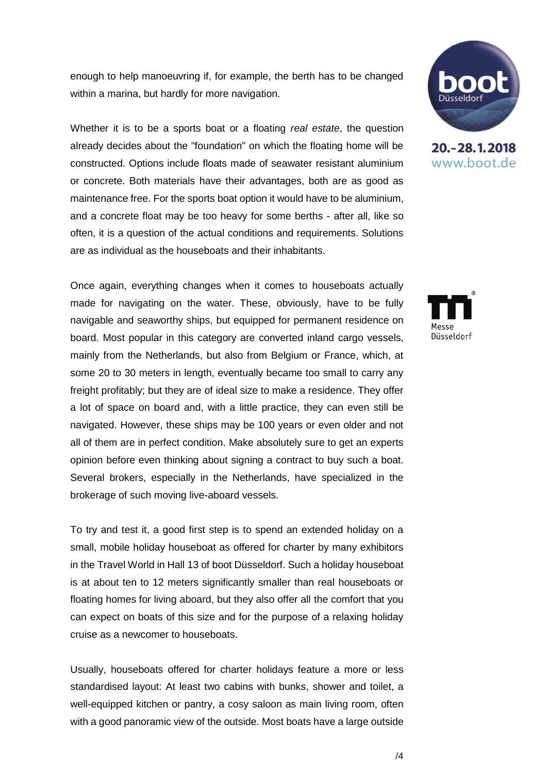enough to help manoeuvring if, for example, the berth has to be changed within a marina, but hardly for more navigation.

Whether it is to be a sports boat or a floating *real estate*, the question already decides about the "foundation" on which the floating home will be constructed. Options include floats made of seawater resistant aluminium or concrete. Both materials have their advantages, both are as good as maintenance free. For the sports boat option it would have to be aluminium, and a concrete float may be too heavy for some berths - after all, like so often, it is a question of the actual conditions and requirements. Solutions are as individual as the houseboats and their inhabitants.

Once again, everything changes when it comes to houseboats actually made for navigating on the water. These, obviously, have to be fully navigable and seaworthy ships, but equipped for permanent residence on board. Most popular in this category are converted inland cargo vessels, mainly from the Netherlands, but also from Belgium or France, which, at some 20 to 30 meters in length, eventually became too small to carry any freight profitably; but they are of ideal size to make a residence. They offer a lot of space on board and, with a little practice, they can even still be navigated. However, these ships may be 100 years or even older and not all of them are in perfect condition. Make absolutely sure to get an experts opinion before even thinking about signing a contract to buy such a boat. Several brokers, especially in the Netherlands, have specialized in the brokerage of such moving live-aboard vessels.

To try and test it, a good first step is to spend an extended holiday on a small, mobile holiday houseboat as offered for charter by many exhibitors in the Travel World in Hall 13 of boot Düsseldorf. Such a holiday houseboat is at about ten to 12 meters significantly smaller than real houseboats or floating homes for living aboard, but they also offer all the comfort that you can expect on boats of this size and for the purpose of a relaxing holiday cruise as a newcomer to houseboats.

Usually, houseboats offered for charter holidays feature a more or less standardised layout: At least two cabins with bunks, shower and toilet, a well-equipped kitchen or pantry, a cosy saloon as main living room, often with a good panoramic view of the outside. Most boats have a large outside



20. - 28. 1. 2018 www.boot.de